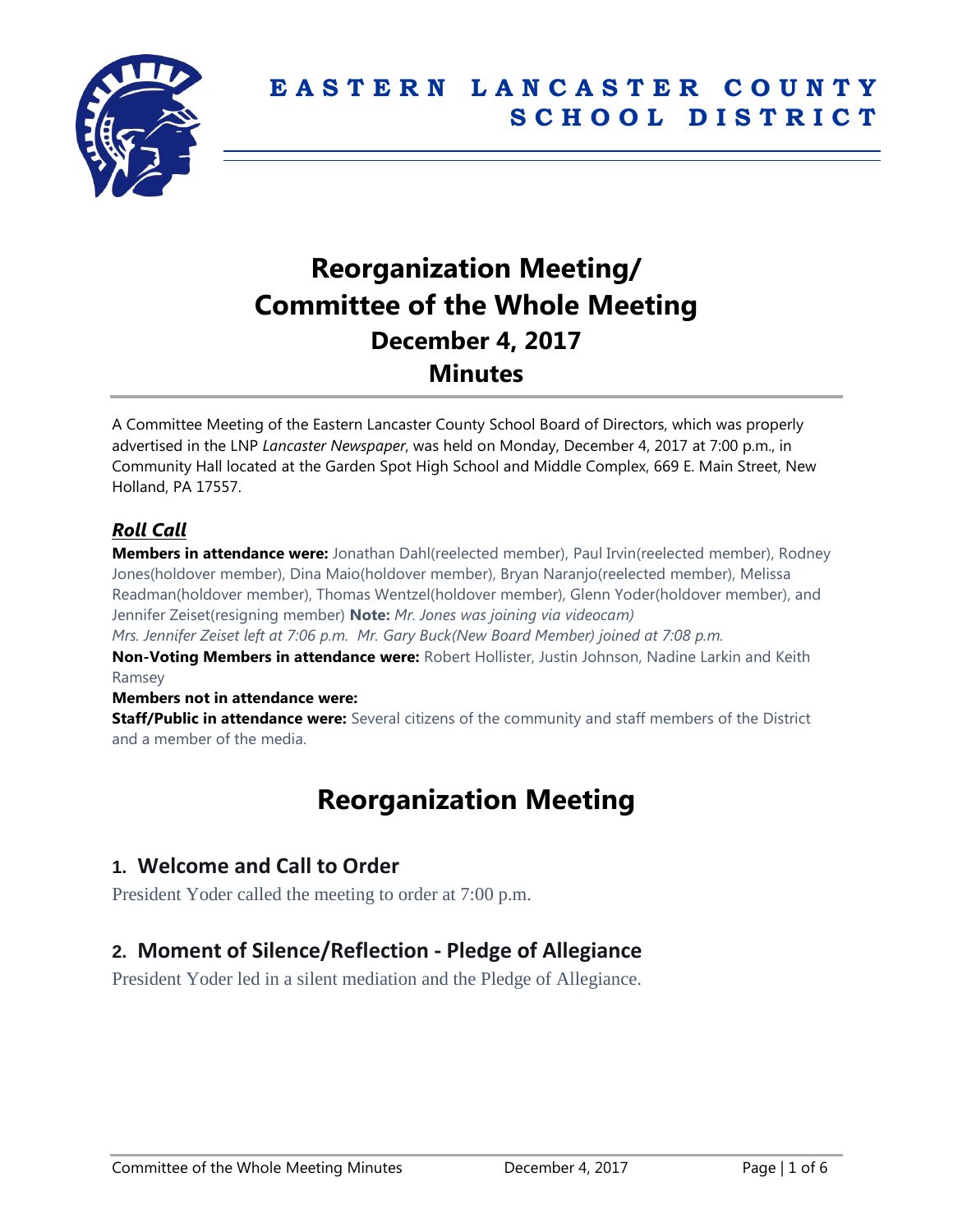

# **Reorganization Meeting/ Committee of the Whole Meeting December 4, 2017 Minutes**

A Committee Meeting of the Eastern Lancaster County School Board of Directors, which was properly advertised in the LNP *Lancaster Newspaper*, was held on Monday, December 4, 2017 at 7:00 p.m., in Community Hall located at the Garden Spot High School and Middle Complex, 669 E. Main Street, New Holland, PA 17557.

#### *Roll Call*

**Members in attendance were:** Jonathan Dahl(reelected member), Paul Irvin(reelected member), Rodney Jones(holdover member), Dina Maio(holdover member), Bryan Naranjo(reelected member), Melissa Readman(holdover member), Thomas Wentzel(holdover member), Glenn Yoder(holdover member), and Jennifer Zeiset(resigning member) **Note:** *Mr. Jones was joining via videocam)*

*Mrs. Jennifer Zeiset left at 7:06 p.m. Mr. Gary Buck(New Board Member) joined at 7:08 p.m.* **Non-Voting Members in attendance were:** Robert Hollister, Justin Johnson, Nadine Larkin and Keith

Ramsey

#### **Members not in attendance were:**

**Staff/Public in attendance were:** Several citizens of the community and staff members of the District and a member of the media.

# **Reorganization Meeting**

## **1. Welcome and Call to Order**

President Yoder called the meeting to order at 7:00 p.m.

## **2. Moment of Silence/Reflection - Pledge of Allegiance**

President Yoder led in a silent mediation and the Pledge of Allegiance.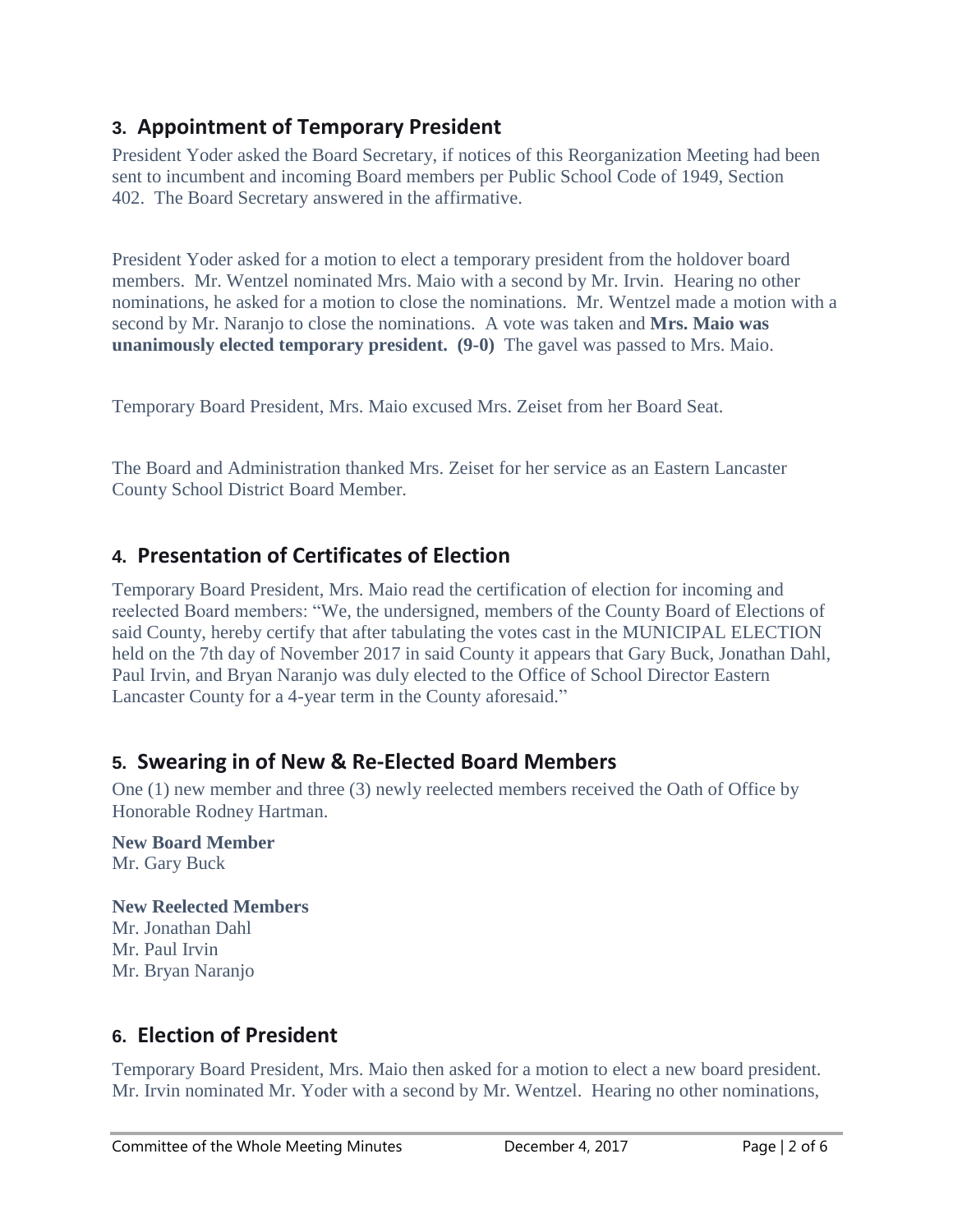# **3. Appointment of Temporary President**

President Yoder asked the Board Secretary, if notices of this Reorganization Meeting had been sent to incumbent and incoming Board members per Public School Code of 1949, Section 402. The Board Secretary answered in the affirmative.

President Yoder asked for a motion to elect a temporary president from the holdover board members. Mr. Wentzel nominated Mrs. Maio with a second by Mr. Irvin. Hearing no other nominations, he asked for a motion to close the nominations. Mr. Wentzel made a motion with a second by Mr. Naranjo to close the nominations. A vote was taken and **Mrs. Maio was unanimously elected temporary president. (9-0)** The gavel was passed to Mrs. Maio.

Temporary Board President, Mrs. Maio excused Mrs. Zeiset from her Board Seat.

The Board and Administration thanked Mrs. Zeiset for her service as an Eastern Lancaster County School District Board Member.

# **4. Presentation of Certificates of Election**

Temporary Board President, Mrs. Maio read the certification of election for incoming and reelected Board members: "We, the undersigned, members of the County Board of Elections of said County, hereby certify that after tabulating the votes cast in the MUNICIPAL ELECTION held on the 7th day of November 2017 in said County it appears that Gary Buck, Jonathan Dahl, Paul Irvin, and Bryan Naranjo was duly elected to the Office of School Director Eastern Lancaster County for a 4-year term in the County aforesaid."

# **5. Swearing in of New & Re-Elected Board Members**

One (1) new member and three (3) newly reelected members received the Oath of Office by Honorable Rodney Hartman.

**New Board Member** Mr. Gary Buck

#### **New Reelected Members**

Mr. Jonathan Dahl Mr. Paul Irvin Mr. Bryan Naranjo

# **6. Election of President**

Temporary Board President, Mrs. Maio then asked for a motion to elect a new board president. Mr. Irvin nominated Mr. Yoder with a second by Mr. Wentzel. Hearing no other nominations,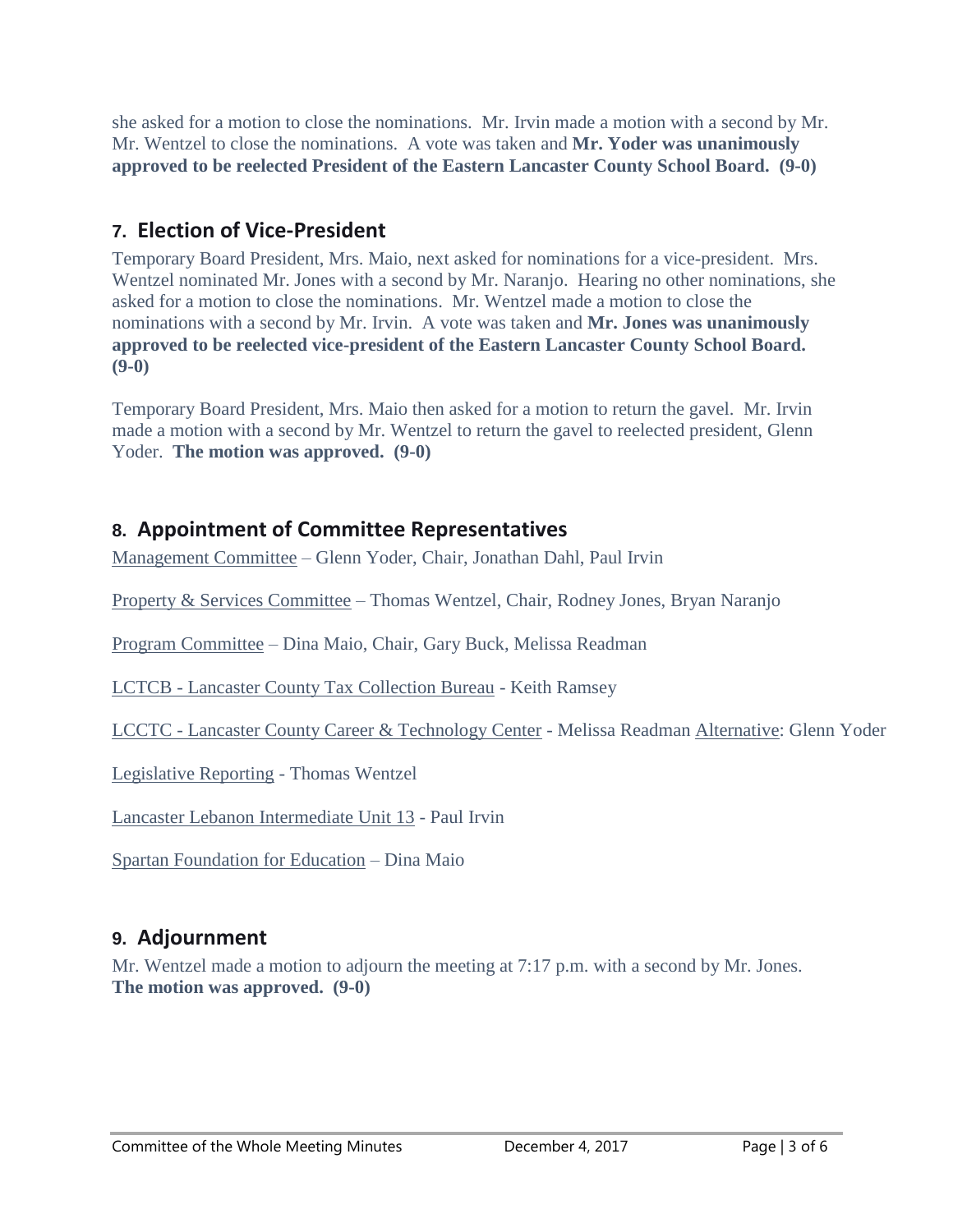she asked for a motion to close the nominations. Mr. Irvin made a motion with a second by Mr. Mr. Wentzel to close the nominations. A vote was taken and **Mr. Yoder was unanimously approved to be reelected President of the Eastern Lancaster County School Board. (9-0)**

# **7. Election of Vice-President**

Temporary Board President, Mrs. Maio, next asked for nominations for a vice-president. Mrs. Wentzel nominated Mr. Jones with a second by Mr. Naranjo. Hearing no other nominations, she asked for a motion to close the nominations. Mr. Wentzel made a motion to close the nominations with a second by Mr. Irvin. A vote was taken and **Mr. Jones was unanimously approved to be reelected vice-president of the Eastern Lancaster County School Board. (9-0)**

Temporary Board President, Mrs. Maio then asked for a motion to return the gavel. Mr. Irvin made a motion with a second by Mr. Wentzel to return the gavel to reelected president, Glenn Yoder. **The motion was approved. (9-0)**

# **8. Appointment of Committee Representatives**

Management Committee – Glenn Yoder, Chair, Jonathan Dahl, Paul Irvin

Property & Services Committee – Thomas Wentzel, Chair, Rodney Jones, Bryan Naranjo

Program Committee – Dina Maio, Chair, Gary Buck, Melissa Readman

LCTCB - Lancaster County Tax Collection Bureau - Keith Ramsey

LCCTC - Lancaster County Career & Technology Center - Melissa Readman Alternative: Glenn Yoder

Legislative Reporting - Thomas Wentzel

Lancaster Lebanon Intermediate Unit 13 - Paul Irvin

Spartan Foundation for Education – Dina Maio

# **9. Adjournment**

Mr. Wentzel made a motion to adjourn the meeting at 7:17 p.m. with a second by Mr. Jones. **The motion was approved. (9-0)**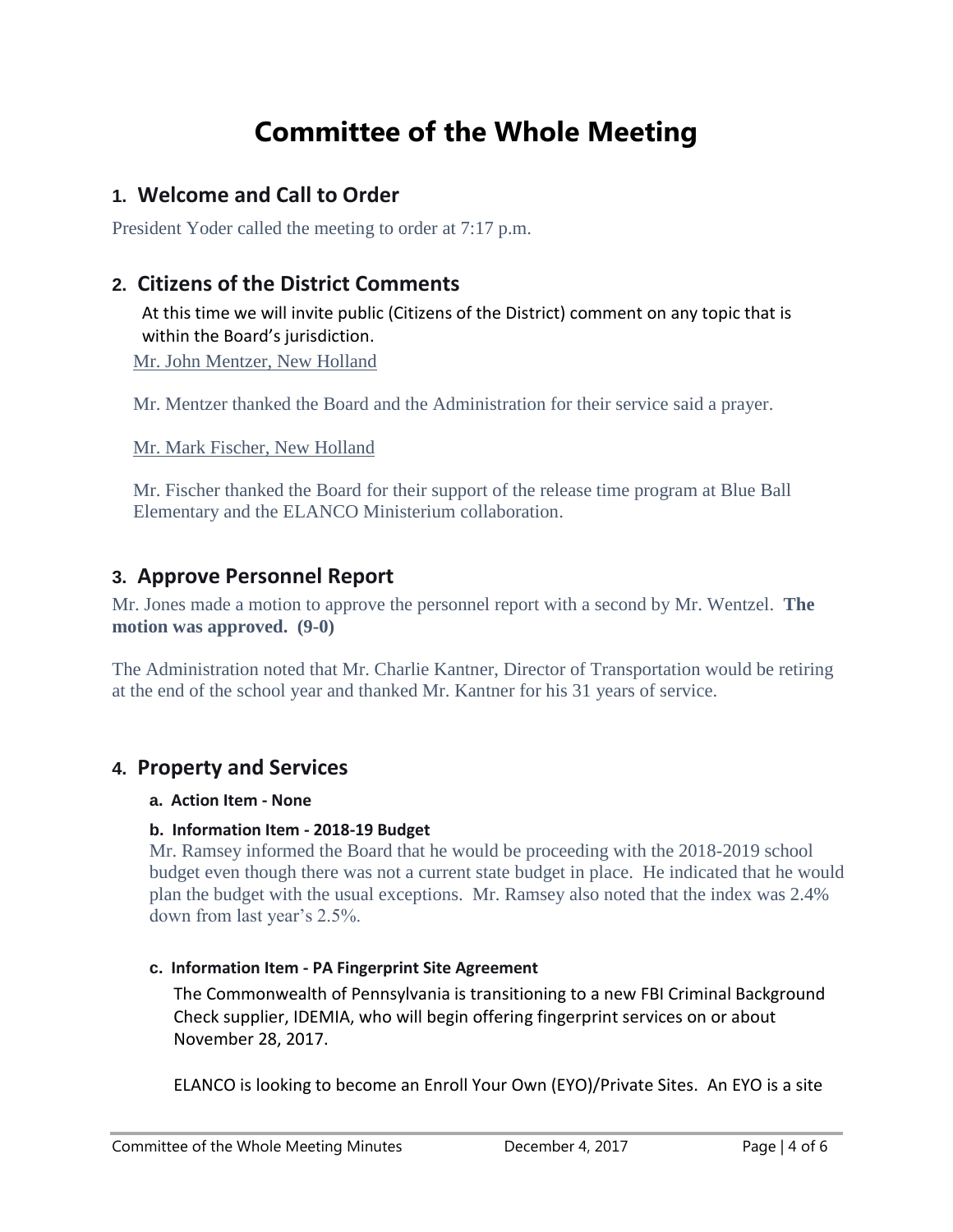# **Committee of the Whole Meeting**

### **1. Welcome and Call to Order**

President Yoder called the meeting to order at 7:17 p.m.

### **2. Citizens of the District Comments**

At this time we will invite public (Citizens of the District) comment on any topic that is within the Board's jurisdiction.

Mr. John Mentzer, New Holland

Mr. Mentzer thanked the Board and the Administration for their service said a prayer.

Mr. Mark Fischer, New Holland

Mr. Fischer thanked the Board for their support of the release time program at Blue Ball Elementary and the ELANCO Ministerium collaboration.

#### **3. Approve Personnel Report**

Mr. Jones made a motion to approve the personnel report with a second by Mr. Wentzel. **The motion was approved. (9-0)** 

The Administration noted that Mr. Charlie Kantner, Director of Transportation would be retiring at the end of the school year and thanked Mr. Kantner for his 31 years of service.

#### **4. Property and Services**

#### **a. Action Item - None**

#### **b. Information Item - 2018-19 Budget**

Mr. Ramsey informed the Board that he would be proceeding with the 2018-2019 school budget even though there was not a current state budget in place. He indicated that he would plan the budget with the usual exceptions. Mr. Ramsey also noted that the index was 2.4% down from last year's 2.5%.

#### **c. Information Item - PA Fingerprint Site Agreement**

The Commonwealth of Pennsylvania is transitioning to a new FBI Criminal Background Check supplier, IDEMIA, who will begin offering fingerprint services on or about November 28, 2017.

ELANCO is looking to become an Enroll Your Own (EYO)/Private Sites. An EYO is a site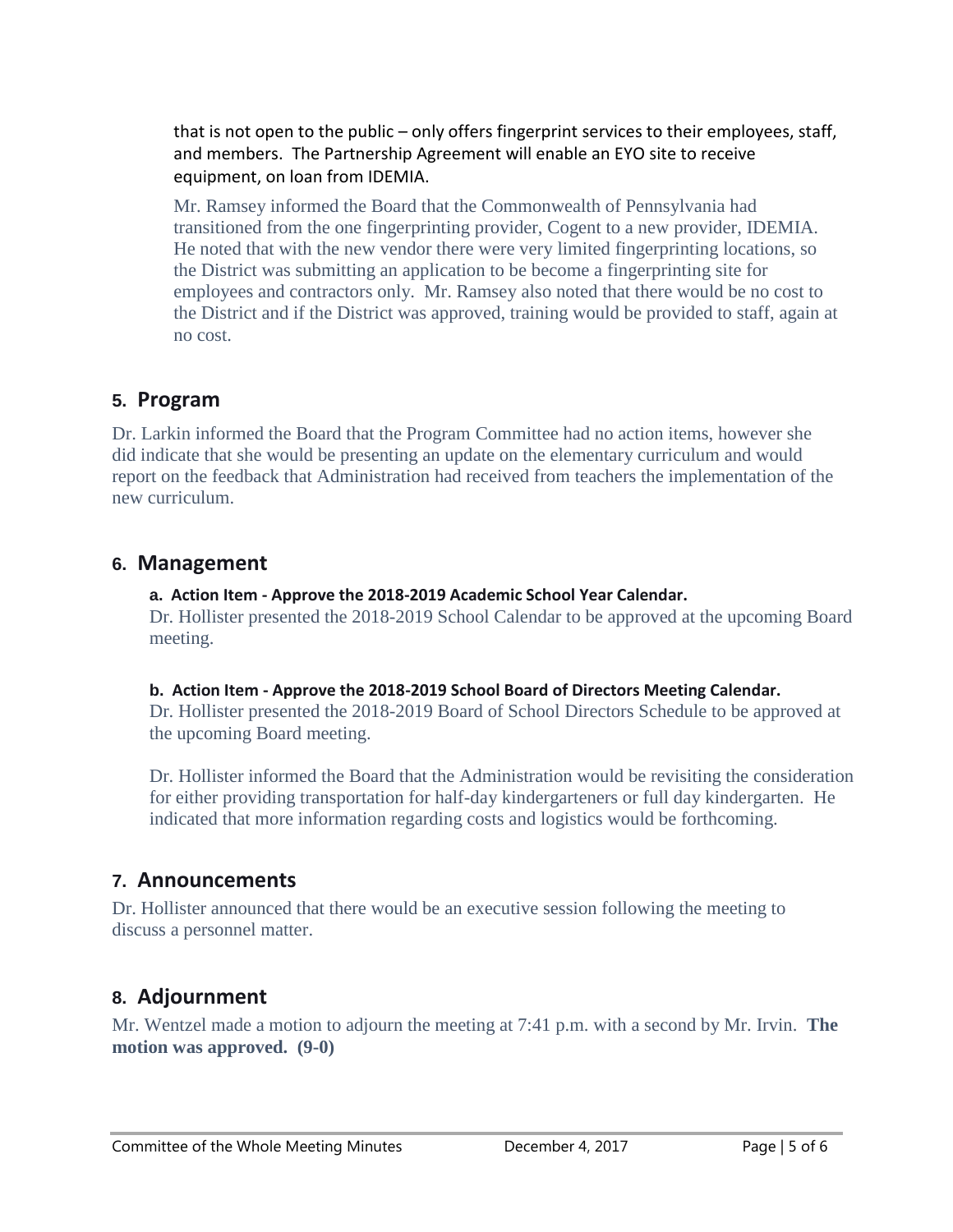that is not open to the public – only offers fingerprint services to their employees, staff, and members. The Partnership Agreement will enable an EYO site to receive equipment, on loan from IDEMIA.

Mr. Ramsey informed the Board that the Commonwealth of Pennsylvania had transitioned from the one fingerprinting provider, Cogent to a new provider, IDEMIA. He noted that with the new vendor there were very limited fingerprinting locations, so the District was submitting an application to be become a fingerprinting site for employees and contractors only. Mr. Ramsey also noted that there would be no cost to the District and if the District was approved, training would be provided to staff, again at no cost.

### **5. Program**

Dr. Larkin informed the Board that the Program Committee had no action items, however she did indicate that she would be presenting an update on the elementary curriculum and would report on the feedback that Administration had received from teachers the implementation of the new curriculum.

#### **6. Management**

#### **a. Action Item - Approve the 2018-2019 Academic School Year Calendar.**

Dr. Hollister presented the 2018-2019 School Calendar to be approved at the upcoming Board meeting.

#### **b. Action Item - Approve the 2018-2019 School Board of Directors Meeting Calendar.**

Dr. Hollister presented the 2018-2019 Board of School Directors Schedule to be approved at the upcoming Board meeting.

Dr. Hollister informed the Board that the Administration would be revisiting the consideration for either providing transportation for half-day kindergarteners or full day kindergarten. He indicated that more information regarding costs and logistics would be forthcoming.

## **7. Announcements**

Dr. Hollister announced that there would be an executive session following the meeting to discuss a personnel matter.

## **8. Adjournment**

Mr. Wentzel made a motion to adjourn the meeting at 7:41 p.m. with a second by Mr. Irvin. **The motion was approved. (9-0)**